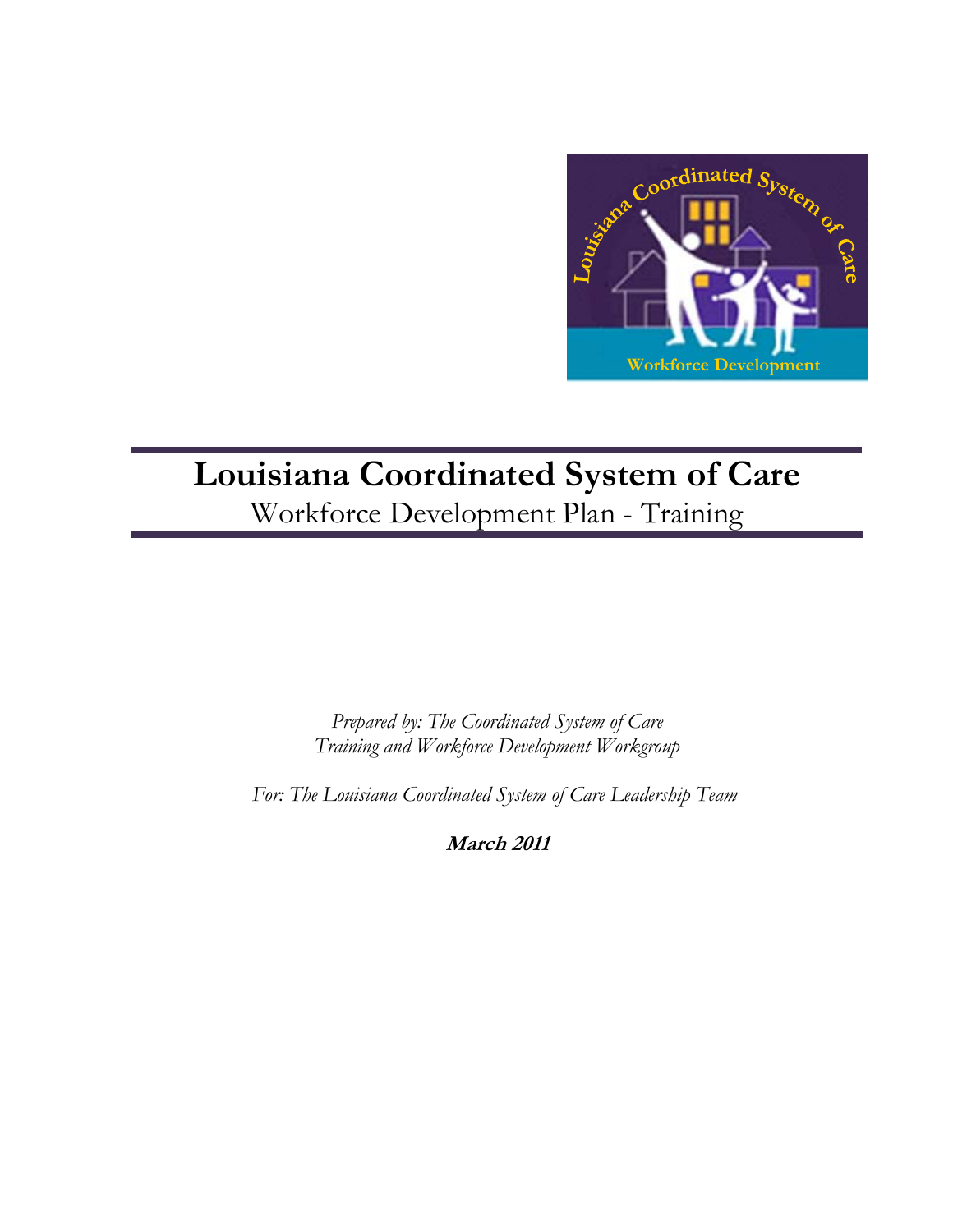

# **Louisiana Coordinated System of Care**  Workforce Development Plan - Training

*Prepared by: The Coordinated System of Care Training and Workforce Development Workgroup* 

 *For: The Louisiana Coordinated System of Care Leadership Team* 

**March 2011**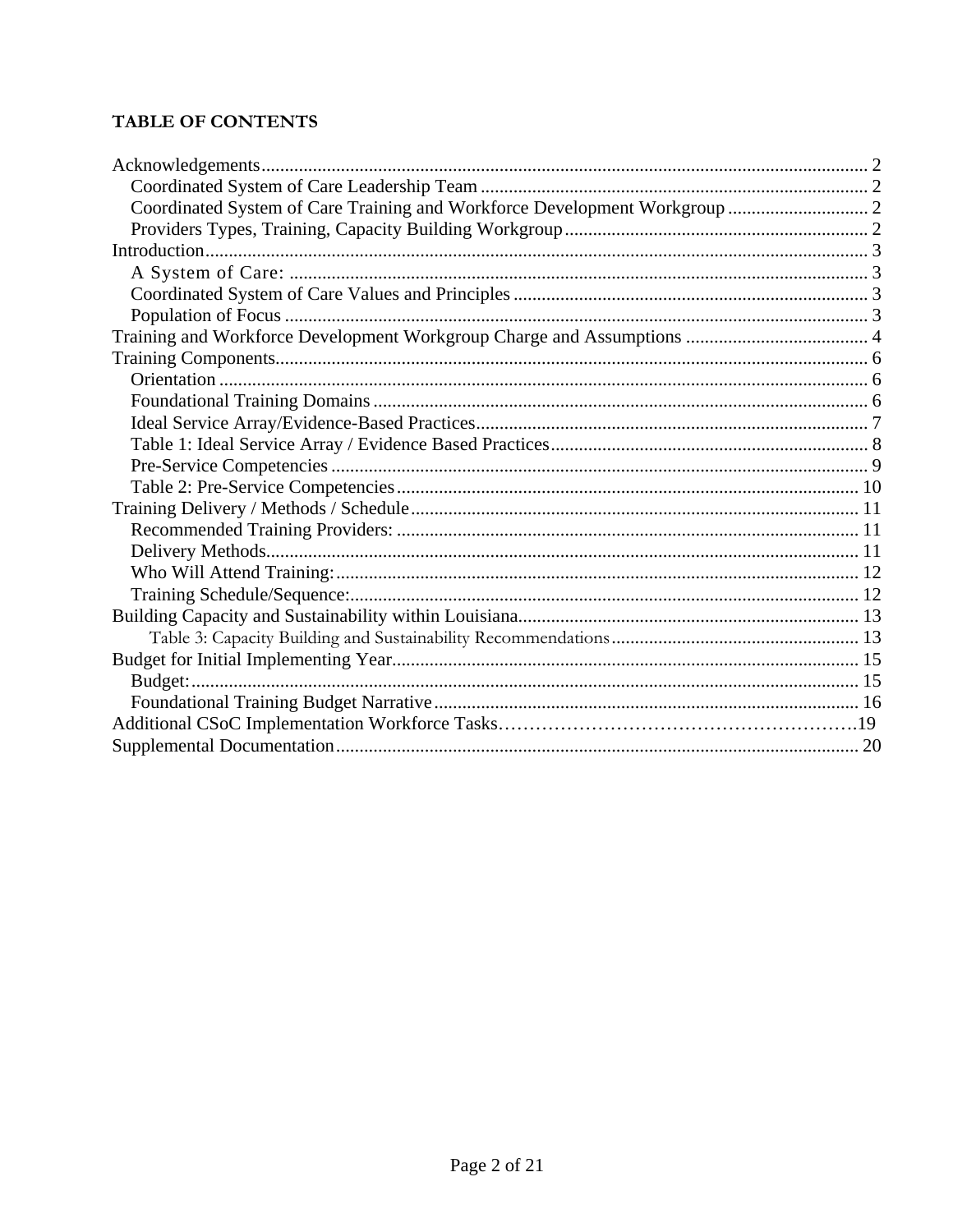## **TABLE OF CONTENTS**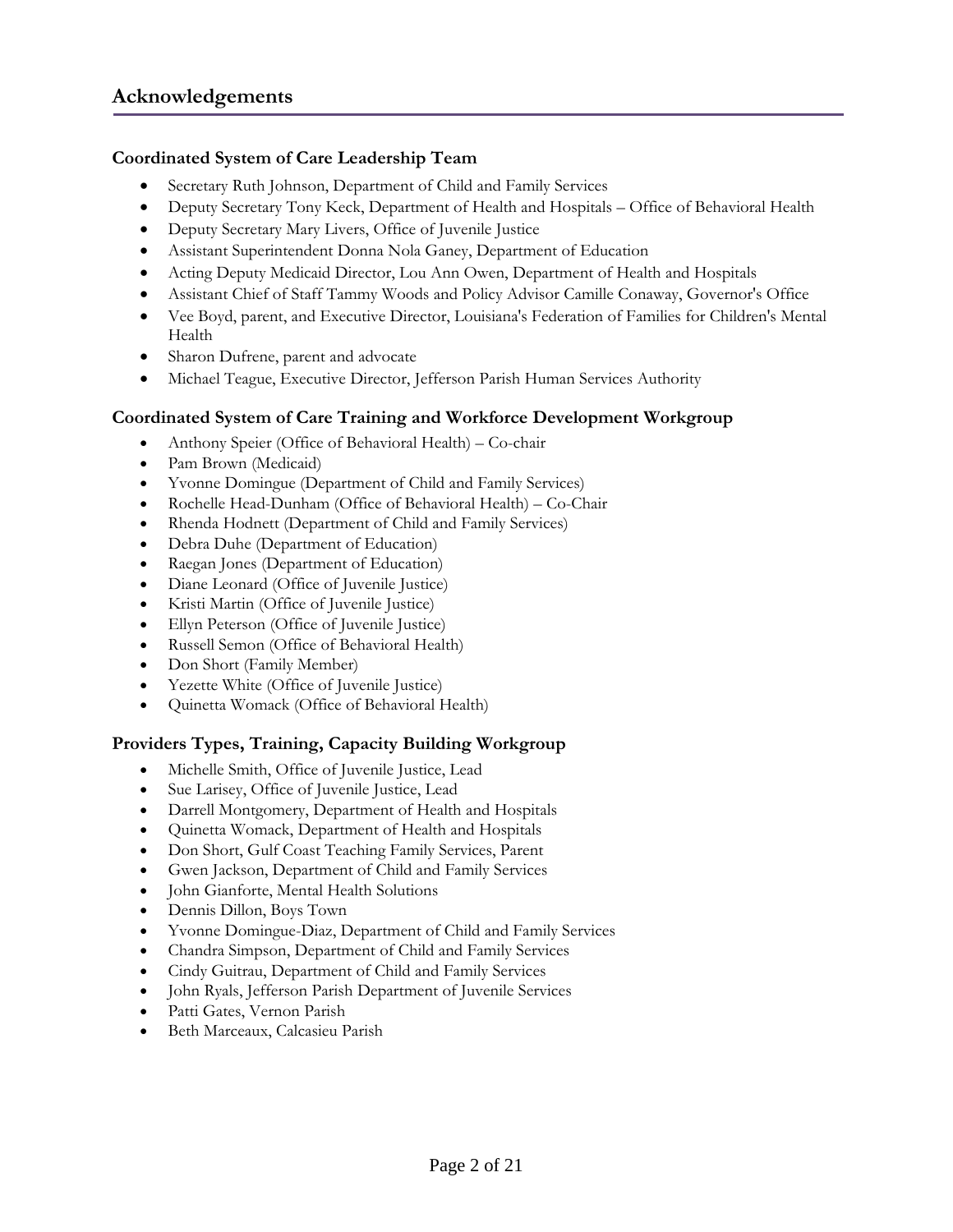## <span id="page-2-0"></span>**Coordinated System of Care Leadership Team**

- Secretary Ruth Johnson, Department of Child and Family Services
- Deputy Secretary Tony Keck, Department of Health and Hospitals Office of Behavioral Health
- Deputy Secretary Mary Livers, Office of Juvenile Justice
- Assistant Superintendent Donna Nola Ganey, Department of Education
- Acting Deputy Medicaid Director, Lou Ann Owen, Department of Health and Hospitals
- Assistant Chief of Staff Tammy Woods and Policy Advisor Camille Conaway, Governor's Office
- Vee Boyd, parent, and Executive Director, Louisiana's Federation of Families for Children's Mental Health
- Sharon Dufrene, parent and advocate
- Michael Teague, Executive Director, Jefferson Parish Human Services Authority

#### **Coordinated System of Care Training and Workforce Development Workgroup**

- Anthony Speier (Office of Behavioral Health) Co-chair
- Pam Brown (Medicaid)
- Yvonne Domingue (Department of Child and Family Services)
- Rochelle Head-Dunham (Office of Behavioral Health) Co-Chair
- Rhenda Hodnett (Department of Child and Family Services)
- Debra Duhe (Department of Education)
- Raegan Jones (Department of Education)
- Diane Leonard (Office of Juvenile Justice)
- Kristi Martin (Office of Juvenile Justice)
- Ellyn Peterson (Office of Juvenile Justice)
- Russell Semon (Office of Behavioral Health)
- Don Short (Family Member)
- Yezette White (Office of Juvenile Justice)
- Quinetta Womack (Office of Behavioral Health)

#### **Providers Types, Training, Capacity Building Workgroup**

- Michelle Smith, Office of Juvenile Justice, Lead
- Sue Larisey, Office of Juvenile Justice, Lead
- Darrell Montgomery, Department of Health and Hospitals
- Quinetta Womack, Department of Health and Hospitals
- Don Short, Gulf Coast Teaching Family Services, Parent
- Gwen Jackson, Department of Child and Family Services
- John Gianforte, Mental Health Solutions
- Dennis Dillon, Boys Town
- Yvonne Domingue-Diaz, Department of Child and Family Services
- Chandra Simpson, Department of Child and Family Services
- Cindy Guitrau, Department of Child and Family Services
- John Ryals, Jefferson Parish Department of Juvenile Services
- Patti Gates, Vernon Parish
- Beth Marceaux, Calcasieu Parish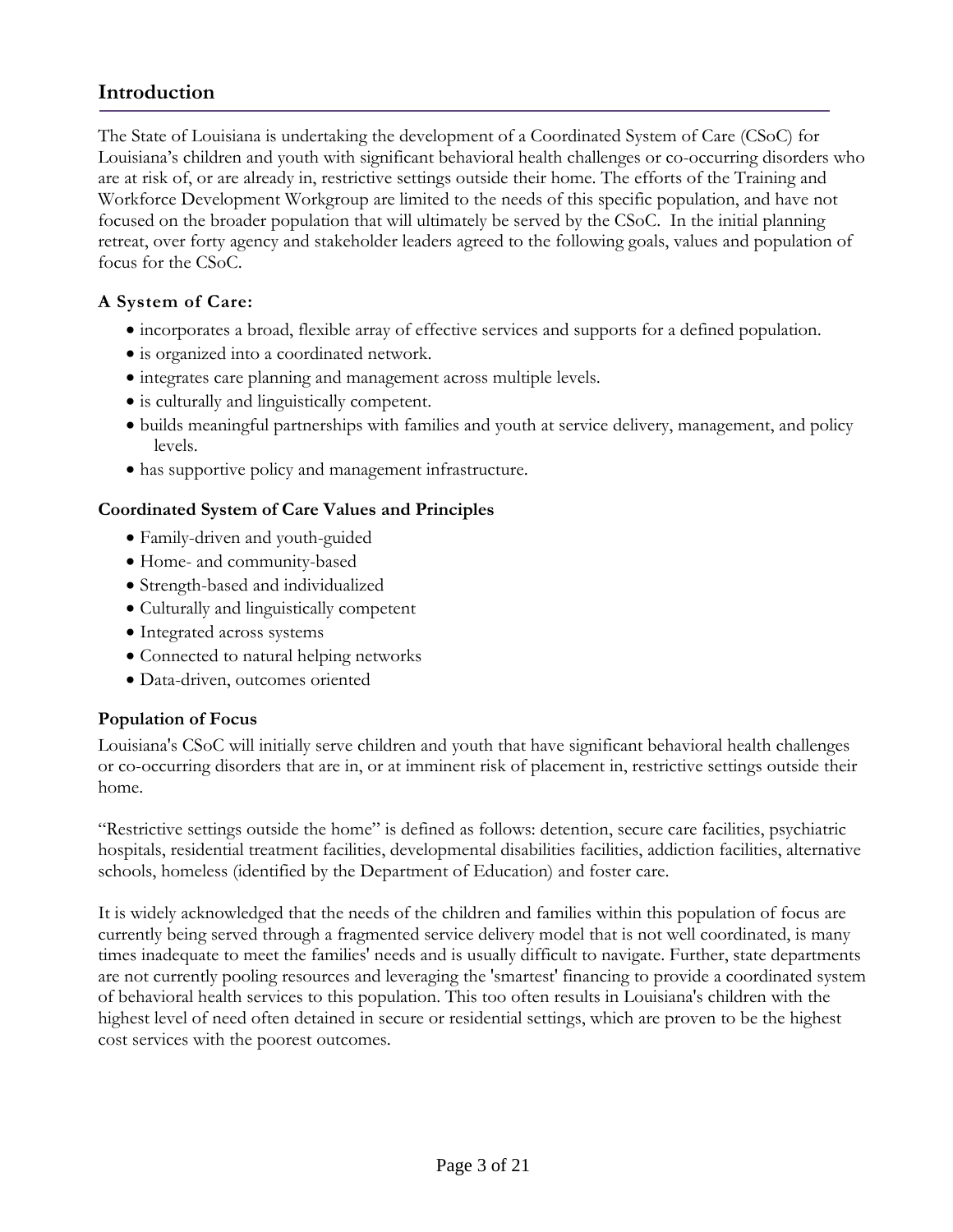## <span id="page-3-0"></span>**Introduction**

The State of Louisiana is undertaking the development of a Coordinated System of Care (CSoC) for Louisiana's children and youth with significant behavioral health challenges or co-occurring disorders who are at risk of, or are already in, restrictive settings outside their home. The efforts of the Training and Workforce Development Workgroup are limited to the needs of this specific population, and have not focused on the broader population that will ultimately be served by the CSoC. In the initial planning retreat, over forty agency and stakeholder leaders agreed to the following goals, values and population of focus for the CSoC.

## **A System of Care:**

- incorporates a broad, flexible array of effective services and supports for a defined population.
- is organized into a coordinated network.
- integrates care planning and management across multiple levels.
- is culturally and linguistically competent.
- builds meaningful partnerships with families and youth at service delivery, management, and policy levels.
- has supportive policy and management infrastructure.

## **Coordinated System of Care Values and Principles**

- Family-driven and youth-guided
- Home- and community-based
- Strength-based and individualized
- Culturally and linguistically competent
- Integrated across systems
- Connected to natural helping networks
- Data-driven, outcomes oriented

#### **Population of Focus**

Louisiana's CSoC will initially serve children and youth that have significant behavioral health challenges or co-occurring disorders that are in, or at imminent risk of placement in, restrictive settings outside their home.

"Restrictive settings outside the home" is defined as follows: detention, secure care facilities, psychiatric hospitals, residential treatment facilities, developmental disabilities facilities, addiction facilities, alternative schools, homeless (identified by the Department of Education) and foster care.

It is widely acknowledged that the needs of the children and families within this population of focus are currently being served through a fragmented service delivery model that is not well coordinated, is many times inadequate to meet the families' needs and is usually difficult to navigate. Further, state departments are not currently pooling resources and leveraging the 'smartest' financing to provide a coordinated system of behavioral health services to this population. This too often results in Louisiana's children with the highest level of need often detained in secure or residential settings, which are proven to be the highest cost services with the poorest outcomes.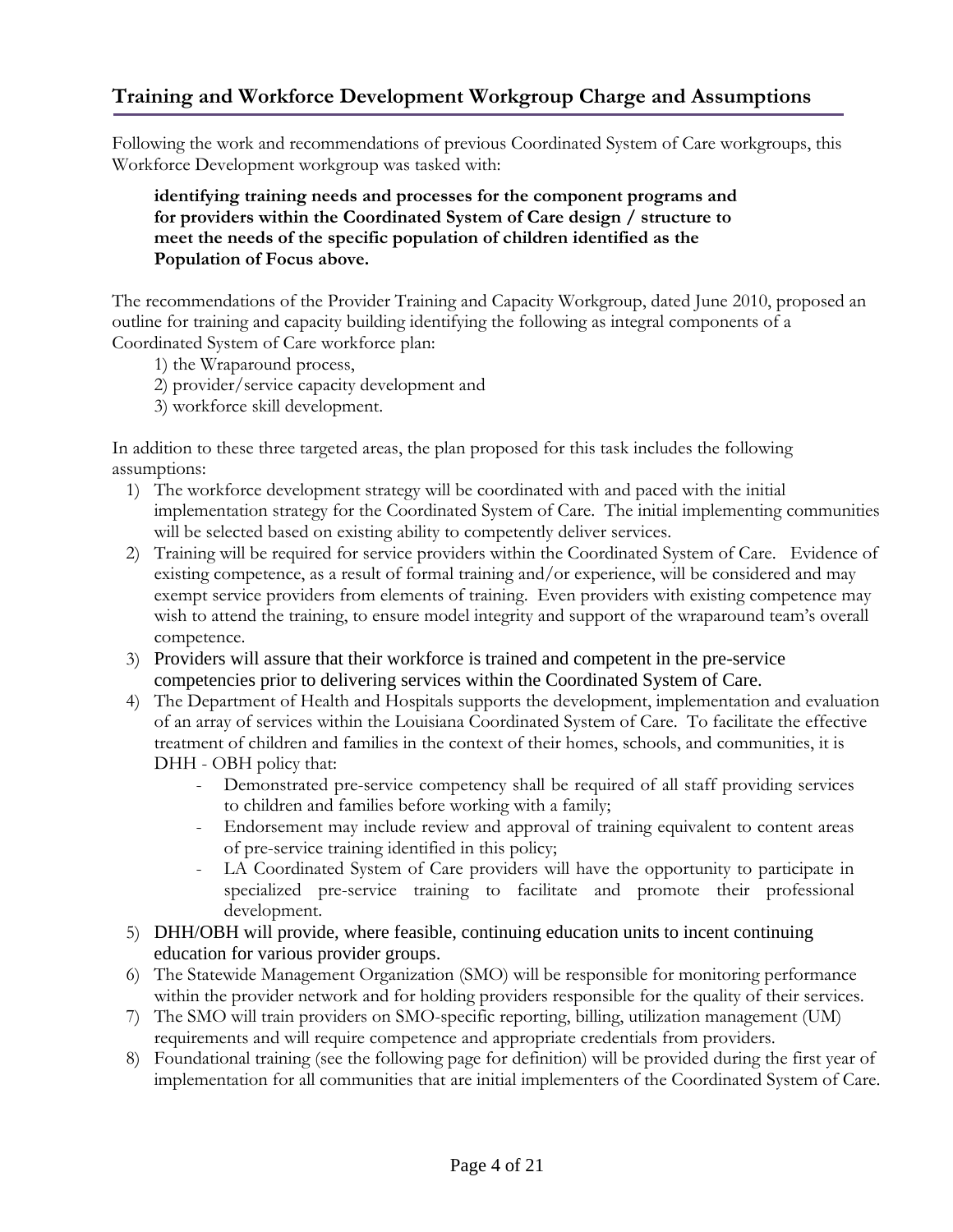# <span id="page-4-0"></span>**Training and Workforce Development Workgroup Charge and Assumptions**

Following the work and recommendations of previous Coordinated System of Care workgroups, this Workforce Development workgroup was tasked with:

## **identifying training needs and processes for the component programs and for providers within the Coordinated System of Care design / structure to meet the needs of the specific population of children identified as the Population of Focus above.**

The recommendations of the Provider Training and Capacity Workgroup, dated June 2010, proposed an outline for training and capacity building identifying the following as integral components of a Coordinated System of Care workforce plan:

- 1) the Wraparound process,
- 2) provider/service capacity development and
- 3) workforce skill development.

In addition to these three targeted areas, the plan proposed for this task includes the following assumptions:

- 1) The workforce development strategy will be coordinated with and paced with the initial implementation strategy for the Coordinated System of Care. The initial implementing communities will be selected based on existing ability to competently deliver services.
- 2) Training will be required for service providers within the Coordinated System of Care. Evidence of existing competence, as a result of formal training and/or experience, will be considered and may exempt service providers from elements of training. Even providers with existing competence may wish to attend the training, to ensure model integrity and support of the wraparound team's overall competence.
- 3) Providers will assure that their workforce is trained and competent in the pre-service competencies prior to delivering services within the Coordinated System of Care.
- 4) The Department of Health and Hospitals supports the development, implementation and evaluation of an array of services within the Louisiana Coordinated System of Care. To facilitate the effective treatment of children and families in the context of their homes, schools, and communities, it is DHH - OBH policy that:
	- Demonstrated pre-service competency shall be required of all staff providing services to children and families before working with a family;
	- Endorsement may include review and approval of training equivalent to content areas of pre-service training identified in this policy;
	- LA Coordinated System of Care providers will have the opportunity to participate in specialized pre-service training to facilitate and promote their professional development.
- 5) DHH/OBH will provide, where feasible, continuing education units to incent continuing education for various provider groups.
- 6) The Statewide Management Organization (SMO) will be responsible for monitoring performance within the provider network and for holding providers responsible for the quality of their services.
- 7) The SMO will train providers on SMO-specific reporting, billing, utilization management (UM) requirements and will require competence and appropriate credentials from providers.
- 8) Foundational training (see the following page for definition) will be provided during the first year of implementation for all communities that are initial implementers of the Coordinated System of Care.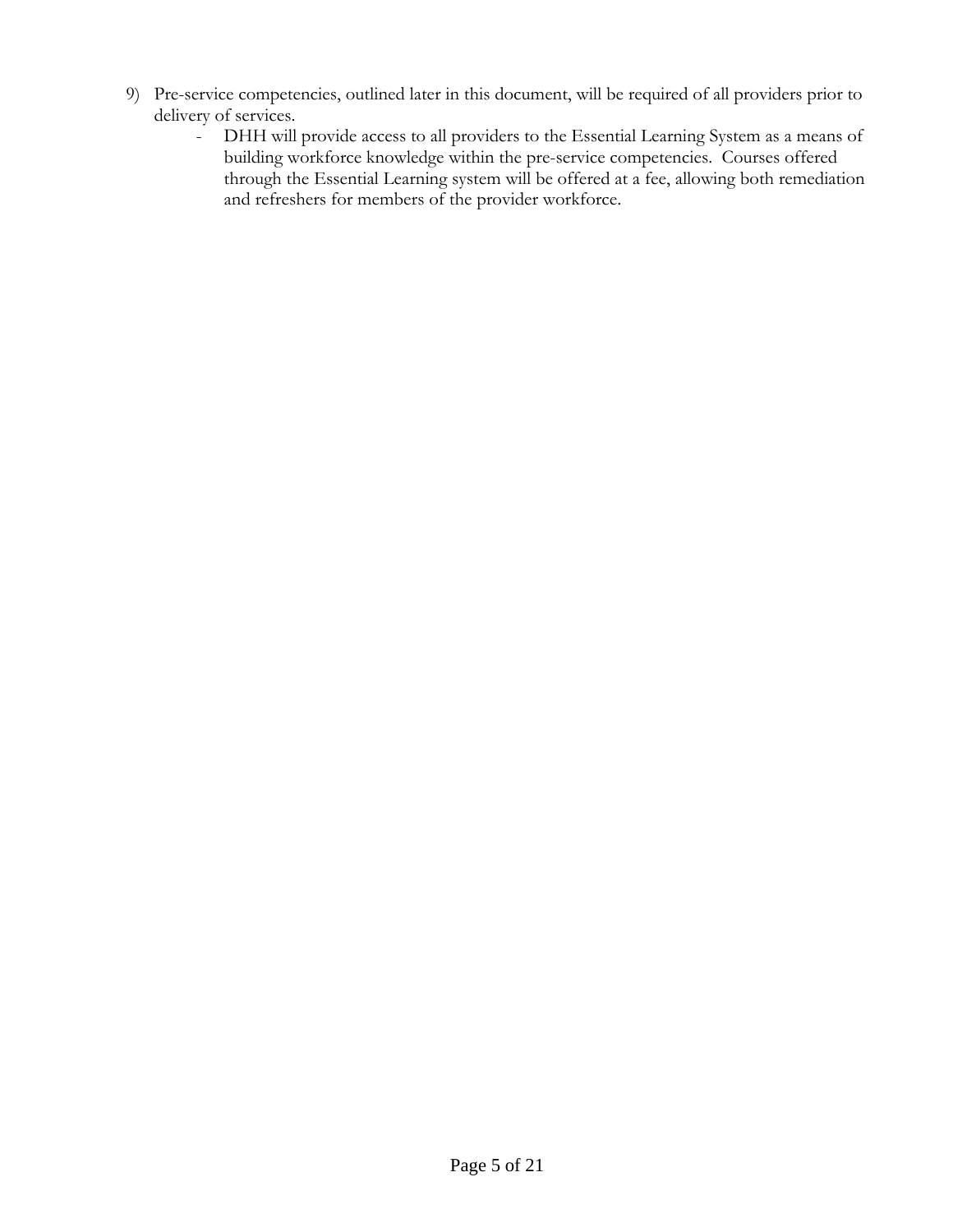- 9) Pre-service competencies, outlined later in this document, will be required of all providers prior to delivery of services.
	- DHH will provide access to all providers to the Essential Learning System as a means of building workforce knowledge within the pre-service competencies. Courses offered through the Essential Learning system will be offered at a fee, allowing both remediation and refreshers for members of the provider workforce.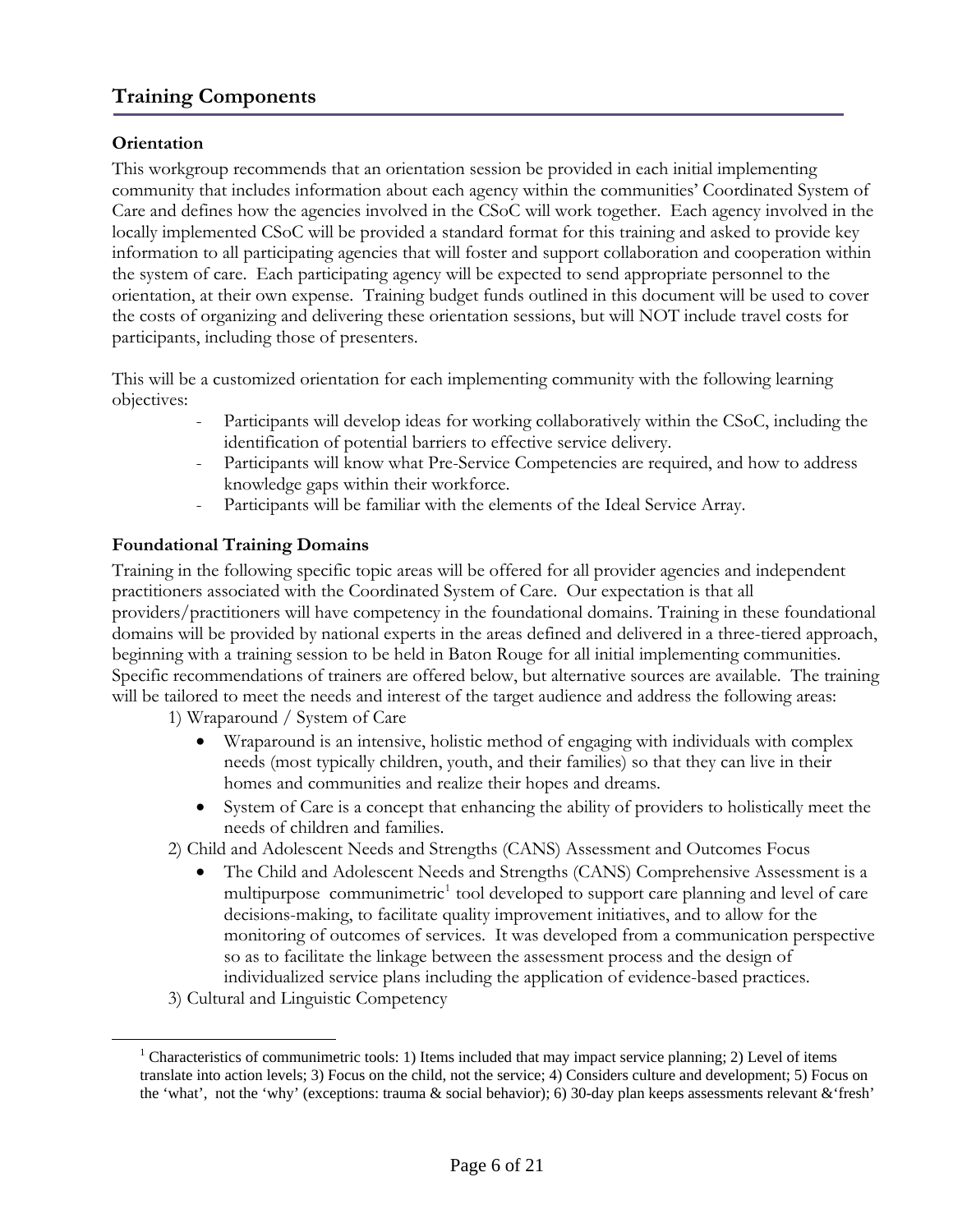# <span id="page-6-0"></span>**Training Components**

## **Orientation**

This workgroup recommends that an orientation session be provided in each initial implementing community that includes information about each agency within the communities' Coordinated System of Care and defines how the agencies involved in the CSoC will work together. Each agency involved in the locally implemented CSoC will be provided a standard format for this training and asked to provide key information to all participating agencies that will foster and support collaboration and cooperation within the system of care. Each participating agency will be expected to send appropriate personnel to the orientation, at their own expense. Training budget funds outlined in this document will be used to cover the costs of organizing and delivering these orientation sessions, but will NOT include travel costs for participants, including those of presenters.

This will be a customized orientation for each implementing community with the following learning objectives:

- Participants will develop ideas for working collaboratively within the CSoC, including the identification of potential barriers to effective service delivery.
- Participants will know what Pre-Service Competencies are required, and how to address knowledge gaps within their workforce.
- Participants will be familiar with the elements of the Ideal Service Array.

## **Foundational Training Domains**

Training in the following specific topic areas will be offered for all provider agencies and independent practitioners associated with the Coordinated System of Care. Our expectation is that all providers/practitioners will have competency in the foundational domains. Training in these foundational domains will be provided by national experts in the areas defined and delivered in a three-tiered approach, beginning with a training session to be held in Baton Rouge for all initial implementing communities. Specific recommendations of trainers are offered below, but alternative sources are available. The training will be tailored to meet the needs and interest of the target audience and address the following areas:

1) Wraparound / System of Care

- Wraparound is an intensive, holistic method of engaging with individuals with complex needs (most typically children, youth, and their families) so that they can live in their homes and communities and realize their hopes and dreams.
- System of Care is a concept that enhancing the ability of providers to holistically meet the needs of children and families.
- 2) Child and Adolescent Needs and Strengths (CANS) Assessment and Outcomes Focus
	- The Child and Adolescent Needs and Strengths (CANS) Comprehensive Assessment is a multipurpose communimetric<sup>[1](#page-6-1)</sup> tool developed to support care planning and level of care decisions-making, to facilitate quality improvement initiatives, and to allow for the monitoring of outcomes of services. It was developed from a communication perspective so as to facilitate the linkage between the assessment process and the design of individualized service plans including the application of evidence-based practices.
- 3) Cultural and Linguistic Competency

<span id="page-6-1"></span><u>.</u>

<sup>&</sup>lt;sup>1</sup> Characteristics of communimetric tools: 1) Items included that may impact service planning; 2) Level of items translate into action levels; 3) Focus on the child, not the service; 4) Considers culture and development; 5) Focus on the 'what', not the 'why' (exceptions: trauma & social behavior); 6) 30-day plan keeps assessments relevant &'fresh'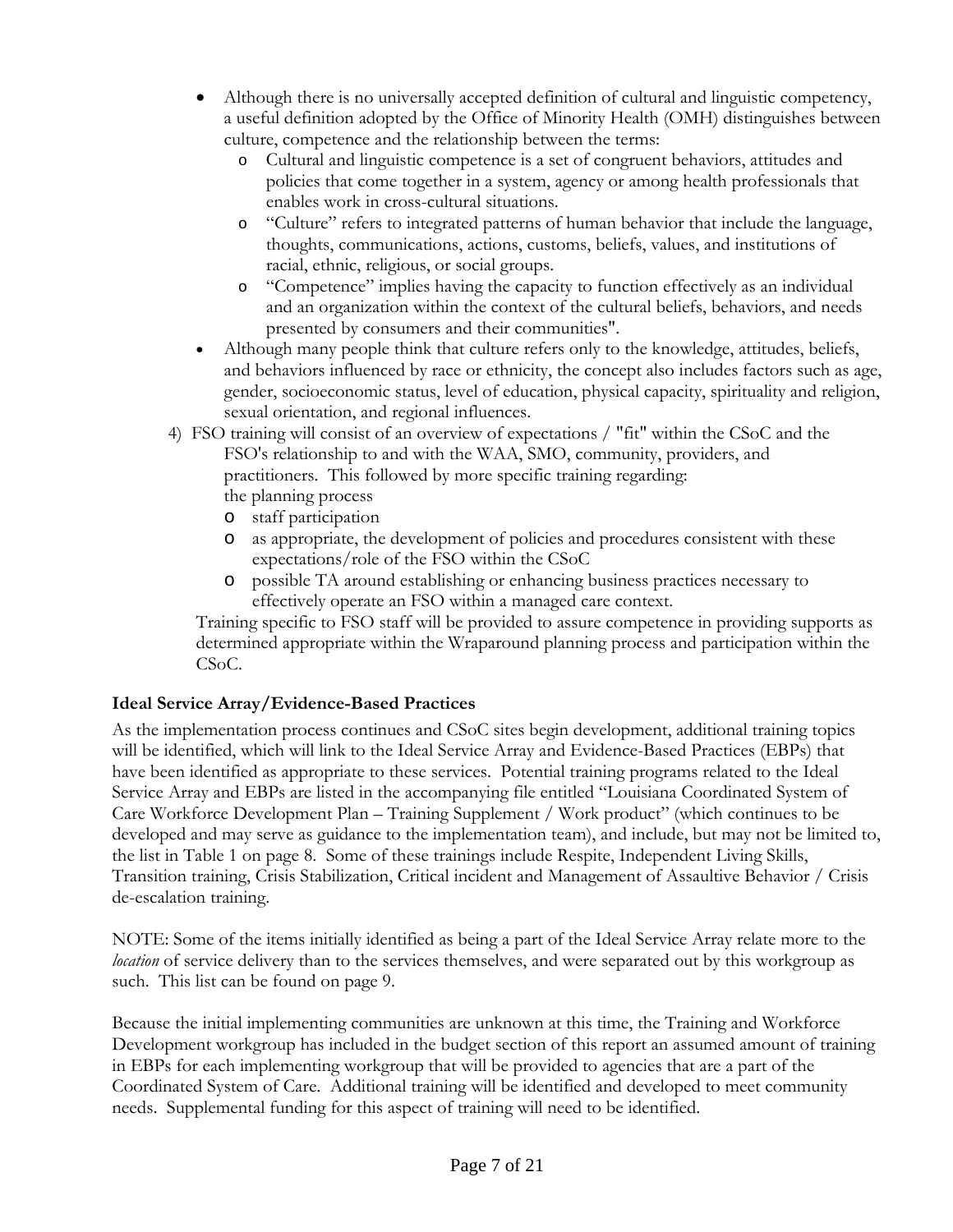- <span id="page-7-0"></span>• Although there is no universally accepted definition of cultural and linguistic competency, a useful definition adopted by the Office of Minority Health (OMH) distinguishes between culture, competence and the relationship between the terms:
	- o Cultural and linguistic competence is a set of congruent behaviors, attitudes and policies that come together in a system, agency or among health professionals that enables work in cross-cultural situations.
	- o "Culture" refers to integrated patterns of human behavior that include the language, thoughts, communications, actions, customs, beliefs, values, and institutions of racial, ethnic, religious, or social groups.
	- o "Competence" implies having the capacity to function effectively as an individual and an organization within the context of the cultural beliefs, behaviors, and needs presented by consumers and their communities".
- Although many people think that culture refers only to the knowledge, attitudes, beliefs, and behaviors influenced by race or ethnicity, the concept also includes factors such as age, gender, socioeconomic status, level of education, physical capacity, spirituality and religion, sexual orientation, and regional influences.
- 4) FSO training will consist of an overview of expectations / "fit" within the CSoC and the FSO's relationship to and with the WAA, SMO, community, providers, and practitioners. This followed by more specific training regarding: the planning process
	- o staff participation
	- o as appropriate, the development of policies and procedures consistent with these expectations/role of the FSO within the CSoC
	- o possible TA around establishing or enhancing business practices necessary to effectively operate an FSO within a managed care context.

 Training specific to FSO staff will be provided to assure competence in providing supports as determined appropriate within the Wraparound planning process and participation within the CSoC.

## **Ideal Service Array/Evidence-Based Practices**

As the implementation process continues and CSoC sites begin development, additional training topics will be identified, which will link to the Ideal Service Array and Evidence-Based Practices (EBPs) that have been identified as appropriate to these services. Potential training programs related to the Ideal Service Array and EBPs are listed in the accompanying file entitled "Louisiana Coordinated System of Care Workforce Development Plan – Training Supplement / Work product" (which continues to be developed and may serve as guidance to the implementation team), and include, but may not be limited to, the list in Table 1 on page 8. Some of these trainings include Respite, Independent Living Skills, Transition training, Crisis Stabilization, Critical incident and Management of Assaultive Behavior / Crisis de-escalation training.

NOTE: Some of the items initially identified as being a part of the Ideal Service Array relate more to the *location* of service delivery than to the services themselves, and were separated out by this workgroup as such. This list can be found on page 9.

Because the initial implementing communities are unknown at this time, the Training and Workforce Development workgroup has included in the budget section of this report an assumed amount of training in EBPs for each implementing workgroup that will be provided to agencies that are a part of the Coordinated System of Care. Additional training will be identified and developed to meet community needs. Supplemental funding for this aspect of training will need to be identified.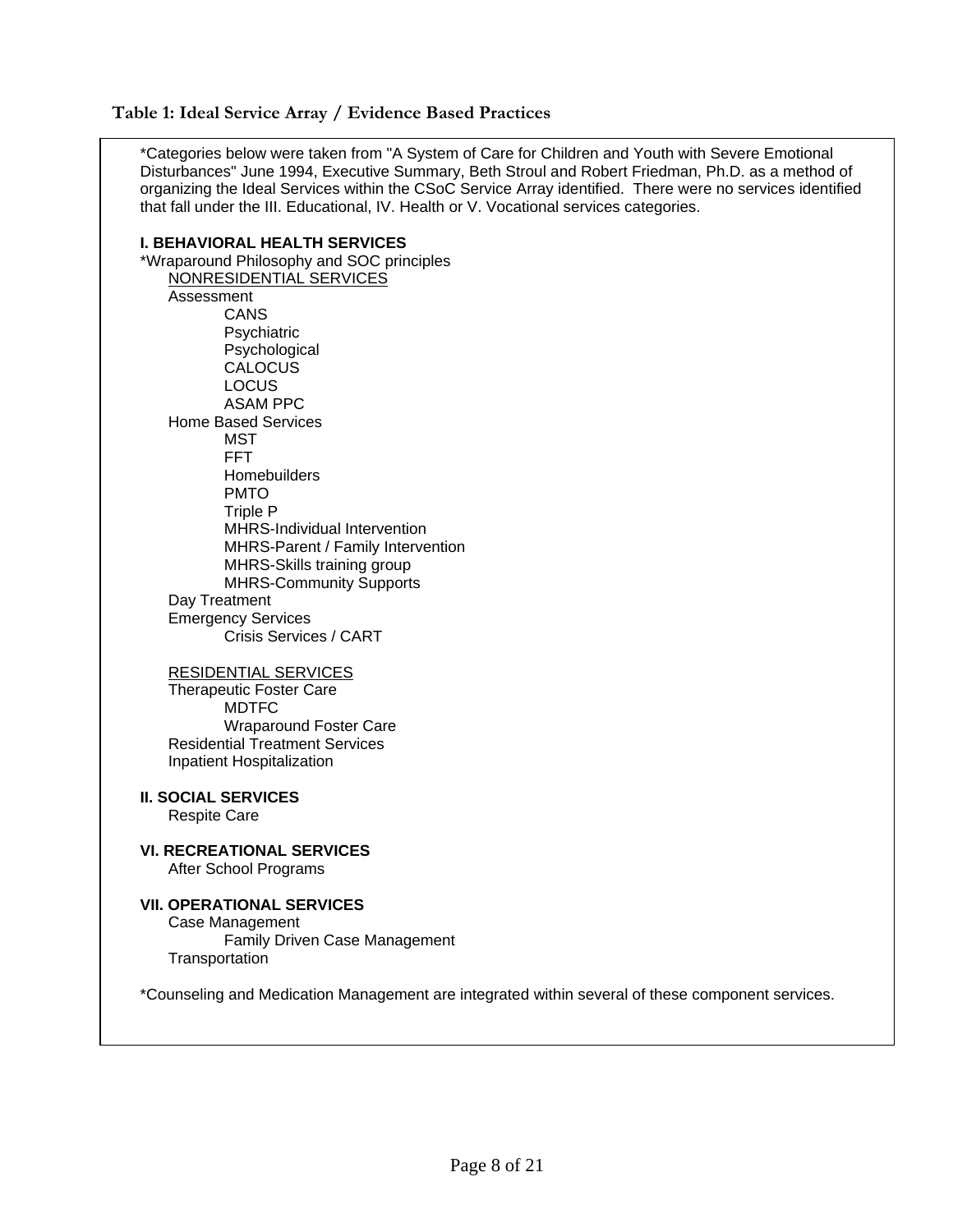#### <span id="page-8-0"></span>**Table 1: Ideal Service Array / Evidence Based Practices**

\*Categories below were taken from "A System of Care for Children and Youth with Severe Emotional Disturbances" June 1994, Executive Summary, Beth Stroul and Robert Friedman, Ph.D. as a method of organizing the Ideal Services within the CSoC Service Array identified. There were no services identified that fall under the III. Educational, IV. Health or V. Vocational services categories.

**I. BEHAVIORAL HEALTH SERVICES**  \*Wraparound Philosophy and SOC principles NONRESIDENTIAL SERVICES Assessment CANS **Psychiatric**  Psychological **CALOCUS**  LOCUS ASAM PPC Home Based Services MST FFT **Homebuilders**  PMTO Triple P MHRS-Individual Intervention MHRS-Parent / Family Intervention MHRS-Skills training group MHRS-Community Supports Day Treatment Emergency Services Crisis Services / CART

RESIDENTIAL SERVICES

 Therapeutic Foster Care MDTFC Wraparound Foster Care Residential Treatment Services Inpatient Hospitalization

**II. SOCIAL SERVICES**  Respite Care

**VI. RECREATIONAL SERVICES**  After School Programs

#### **VII. OPERATIONAL SERVICES**  Case Management

 Family Driven Case Management **Transportation** 

\*Counseling and Medication Management are integrated within several of these component services.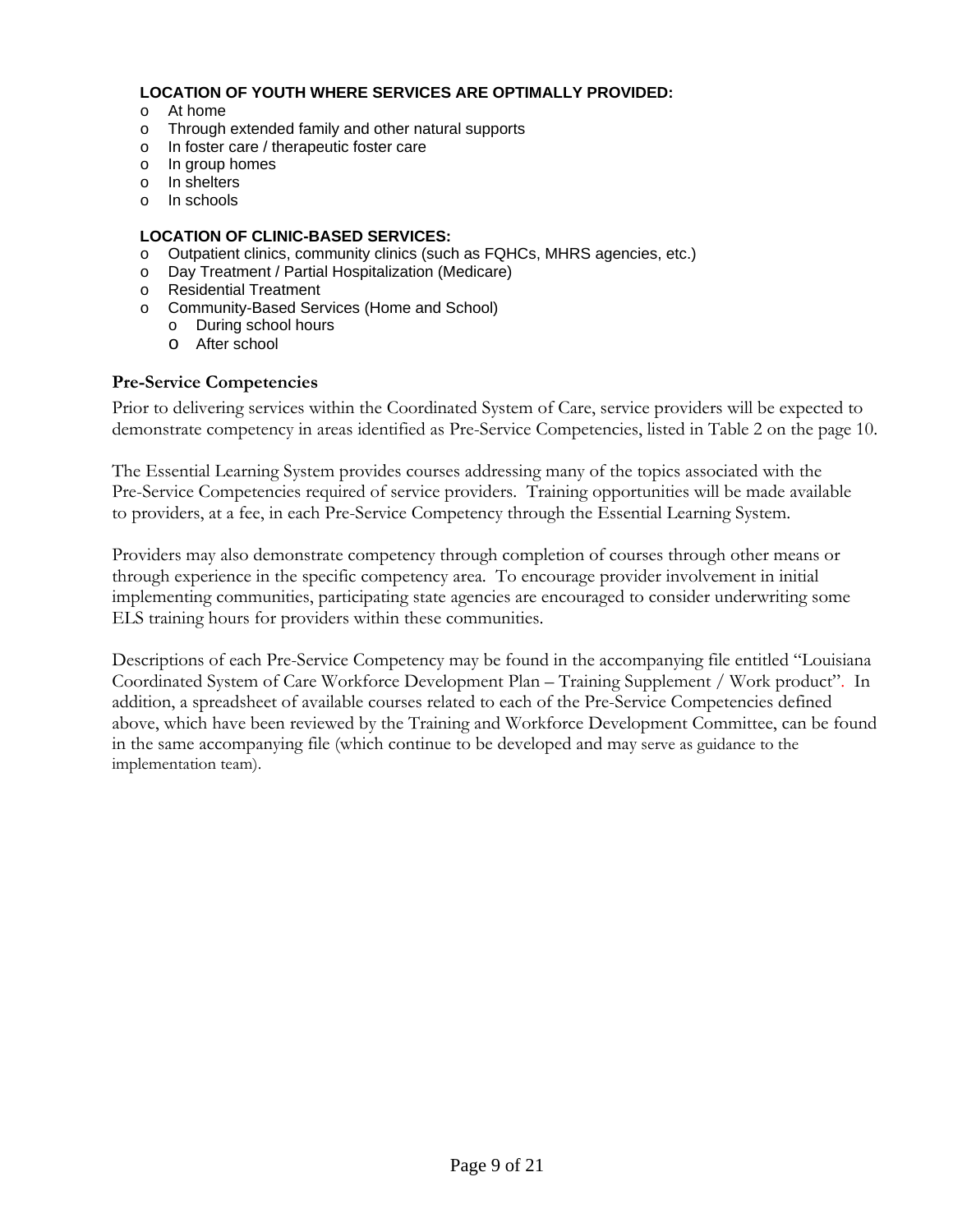#### <span id="page-9-0"></span>**LOCATION OF YOUTH WHERE SERVICES ARE OPTIMALLY PROVIDED:**

- o At home
- o Through extended family and other natural supports
- o In foster care / therapeutic foster care
- o In group homes
- o In shelters
- o In schools

#### **LOCATION OF CLINIC-BASED SERVICES:**

- o Outpatient clinics, community clinics (such as FQHCs, MHRS agencies, etc.)
- o Day Treatment / Partial Hospitalization (Medicare)
- o Residential Treatment
- o Community-Based Services (Home and School)
	- o During school hours
	- o After school

#### **Pre-Service Competencies**

Prior to delivering services within the Coordinated System of Care, service providers will be expected to demonstrate competency in areas identified as Pre-Service Competencies, listed in Table 2 on the page 10.

The Essential Learning System provides courses addressing many of the topics associated with the Pre-Service Competencies required of service providers. Training opportunities will be made available to providers, at a fee, in each Pre-Service Competency through the Essential Learning System.

Providers may also demonstrate competency through completion of courses through other means or through experience in the specific competency area. To encourage provider involvement in initial implementing communities, participating state agencies are encouraged to consider underwriting some ELS training hours for providers within these communities.

Descriptions of each Pre-Service Competency may be found in the accompanying file entitled "Louisiana Coordinated System of Care Workforce Development Plan – Training Supplement / Work product". In addition, a spreadsheet of available courses related to each of the Pre-Service Competencies defined above, which have been reviewed by the Training and Workforce Development Committee, can be found in the same accompanying file (which continue to be developed and may serve as guidance to the implementation team).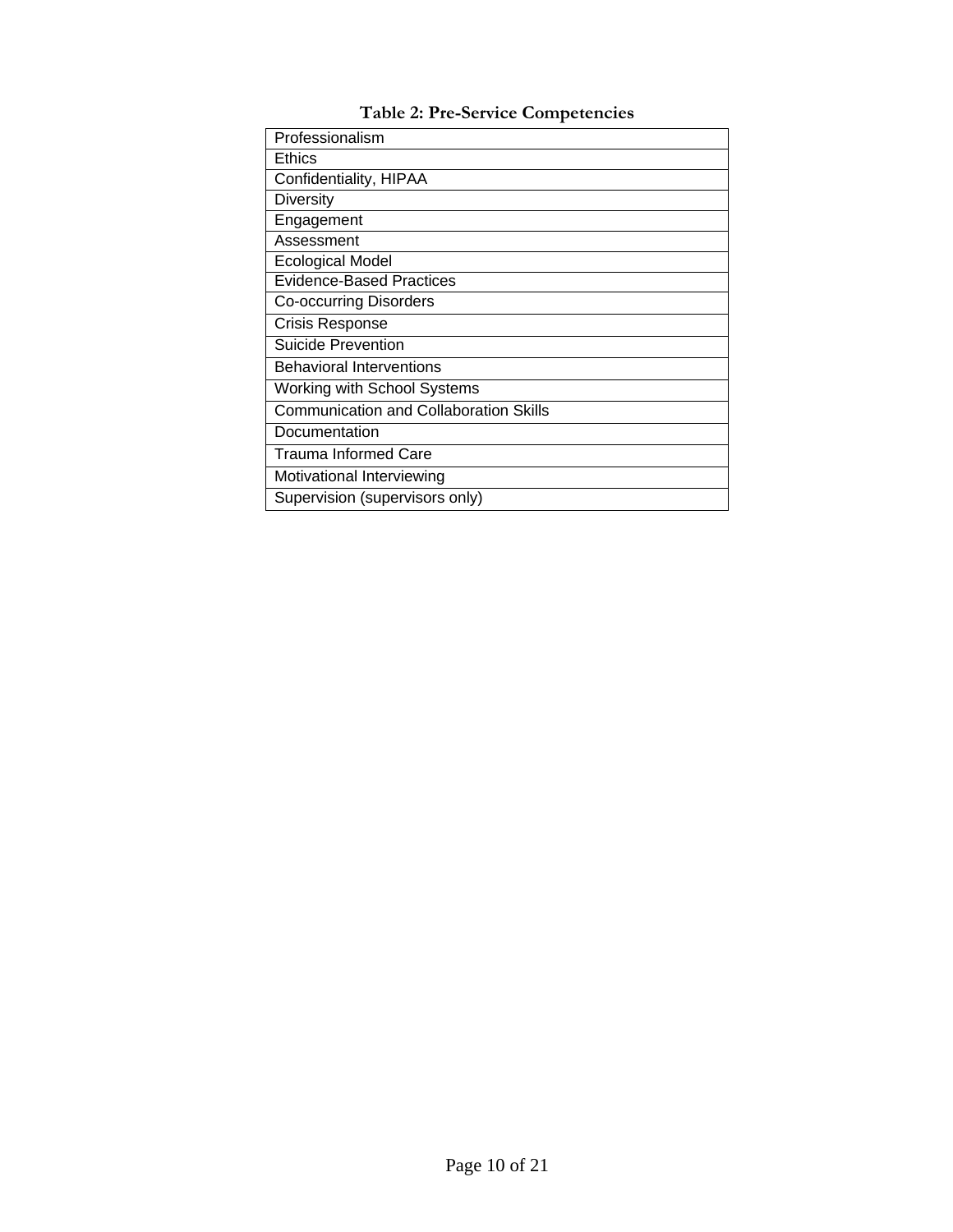<span id="page-10-0"></span>

| Professionalism                               |
|-----------------------------------------------|
| <b>Ethics</b>                                 |
| Confidentiality, HIPAA                        |
| <b>Diversity</b>                              |
| Engagement                                    |
| Assessment                                    |
| <b>Ecological Model</b>                       |
| Evidence-Based Practices                      |
| <b>Co-occurring Disorders</b>                 |
| <b>Crisis Response</b>                        |
| Suicide Prevention                            |
| <b>Behavioral Interventions</b>               |
| <b>Working with School Systems</b>            |
| <b>Communication and Collaboration Skills</b> |
| Documentation                                 |
| Trauma Informed Care                          |
| Motivational Interviewing                     |
| Supervision (supervisors only)                |

**Table 2: Pre-Service Competencies**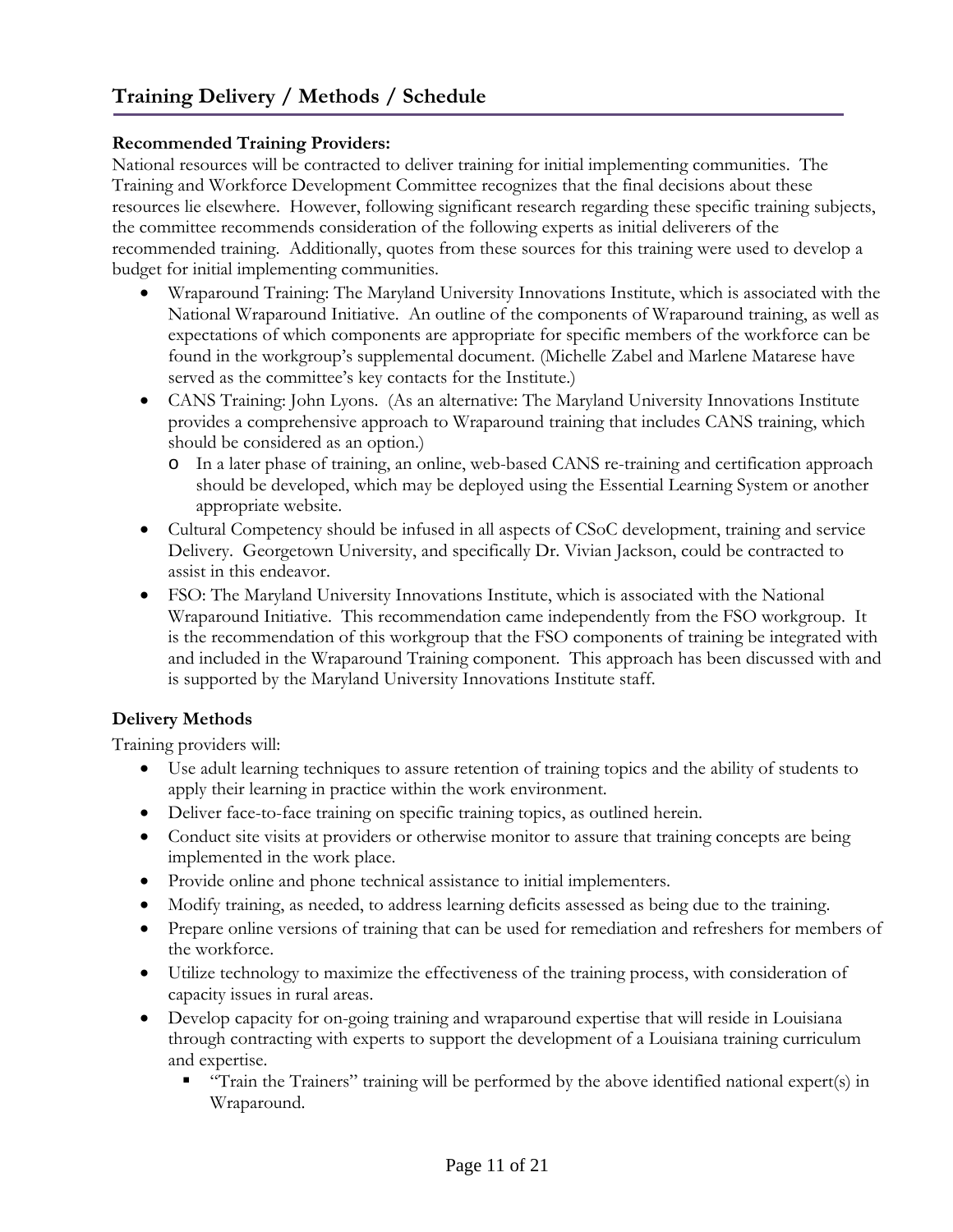## <span id="page-11-0"></span>**Recommended Training Providers:**

National resources will be contracted to deliver training for initial implementing communities. The Training and Workforce Development Committee recognizes that the final decisions about these resources lie elsewhere. However, following significant research regarding these specific training subjects, the committee recommends consideration of the following experts as initial deliverers of the recommended training. Additionally, quotes from these sources for this training were used to develop a budget for initial implementing communities.

- Wraparound Training: The Maryland University Innovations Institute, which is associated with the National Wraparound Initiative. An outline of the components of Wraparound training, as well as expectations of which components are appropriate for specific members of the workforce can be found in the workgroup's supplemental document. (Michelle Zabel and Marlene Matarese have served as the committee's key contacts for the Institute.)
- CANS Training: John Lyons. (As an alternative: The Maryland University Innovations Institute provides a comprehensive approach to Wraparound training that includes CANS training, which should be considered as an option.)
	- o In a later phase of training, an online, web-based CANS re-training and certification approach should be developed, which may be deployed using the Essential Learning System or another appropriate website.
- Cultural Competency should be infused in all aspects of CSoC development, training and service Delivery. Georgetown University, and specifically Dr. Vivian Jackson, could be contracted to assist in this endeavor.
- FSO: The Maryland University Innovations Institute, which is associated with the National Wraparound Initiative. This recommendation came independently from the FSO workgroup. It is the recommendation of this workgroup that the FSO components of training be integrated with and included in the Wraparound Training component. This approach has been discussed with and is supported by the Maryland University Innovations Institute staff.

## **Delivery Methods**

Training providers will:

- Use adult learning techniques to assure retention of training topics and the ability of students to apply their learning in practice within the work environment.
- Deliver face-to-face training on specific training topics, as outlined herein.
- Conduct site visits at providers or otherwise monitor to assure that training concepts are being implemented in the work place.
- Provide online and phone technical assistance to initial implementers.
- Modify training, as needed, to address learning deficits assessed as being due to the training.
- Prepare online versions of training that can be used for remediation and refreshers for members of the workforce.
- Utilize technology to maximize the effectiveness of the training process, with consideration of capacity issues in rural areas.
- Develop capacity for on-going training and wraparound expertise that will reside in Louisiana through contracting with experts to support the development of a Louisiana training curriculum and expertise.
	- "Train the Trainers" training will be performed by the above identified national expert(s) in Wraparound.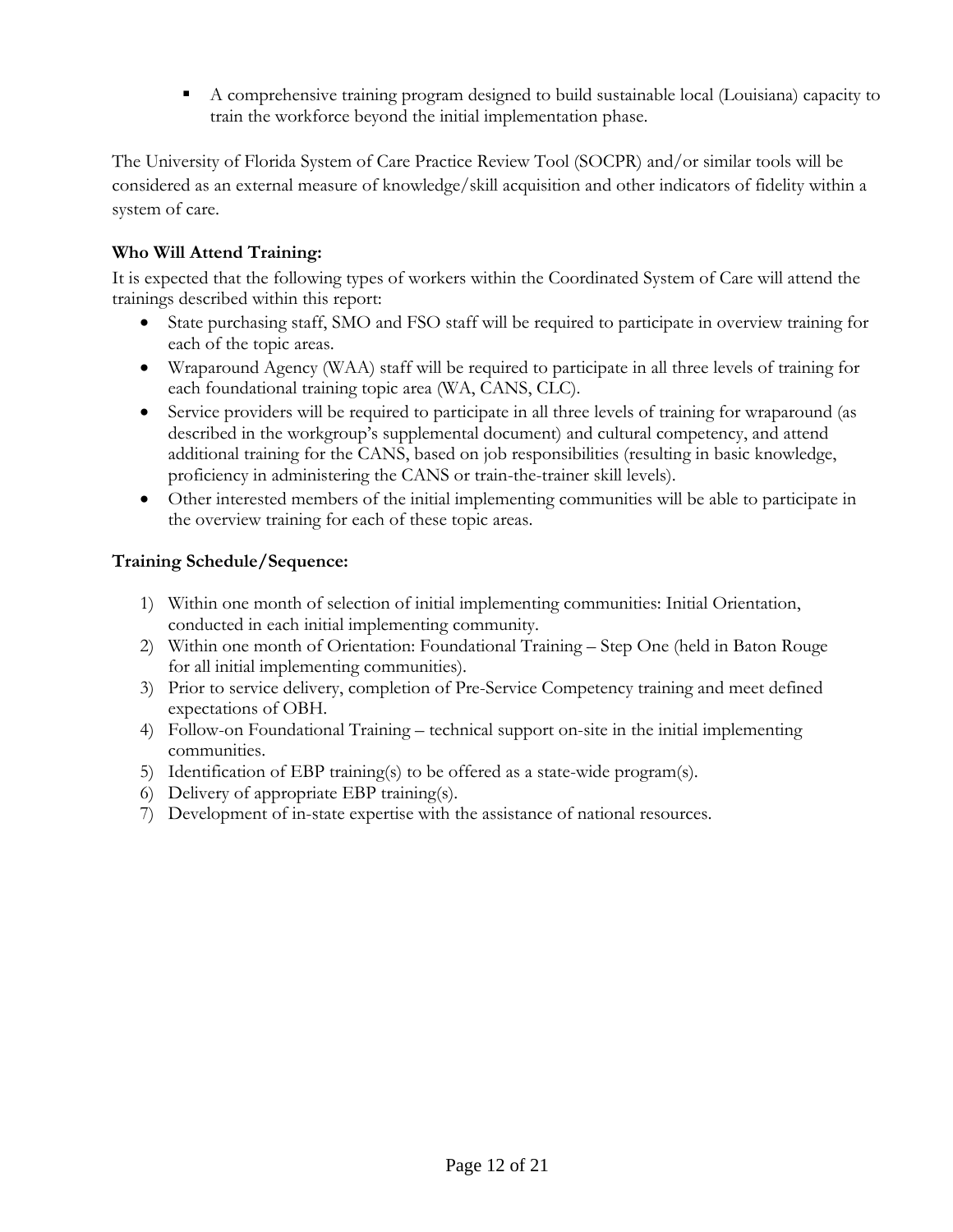A comprehensive training program designed to build sustainable local (Louisiana) capacity to train the workforce beyond the initial implementation phase.

<span id="page-12-0"></span>The University of Florida System of Care Practice Review Tool (SOCPR) and/or similar tools will be considered as an external measure of knowledge/skill acquisition and other indicators of fidelity within a system of care.

## **Who Will Attend Training:**

It is expected that the following types of workers within the Coordinated System of Care will attend the trainings described within this report:

- State purchasing staff, SMO and FSO staff will be required to participate in overview training for each of the topic areas.
- Wraparound Agency (WAA) staff will be required to participate in all three levels of training for each foundational training topic area (WA, CANS, CLC).
- Service providers will be required to participate in all three levels of training for wraparound (as described in the workgroup's supplemental document) and cultural competency, and attend additional training for the CANS, based on job responsibilities (resulting in basic knowledge, proficiency in administering the CANS or train-the-trainer skill levels).
- Other interested members of the initial implementing communities will be able to participate in the overview training for each of these topic areas.

## **Training Schedule/Sequence:**

- 1) Within one month of selection of initial implementing communities: Initial Orientation, conducted in each initial implementing community.
- 2) Within one month of Orientation: Foundational Training Step One (held in Baton Rouge for all initial implementing communities).
- 3) Prior to service delivery, completion of Pre-Service Competency training and meet defined expectations of OBH.
- 4) Follow-on Foundational Training technical support on-site in the initial implementing communities.
- 5) Identification of EBP training(s) to be offered as a state-wide program(s).
- 6) Delivery of appropriate EBP training(s).
- 7) Development of in-state expertise with the assistance of national resources.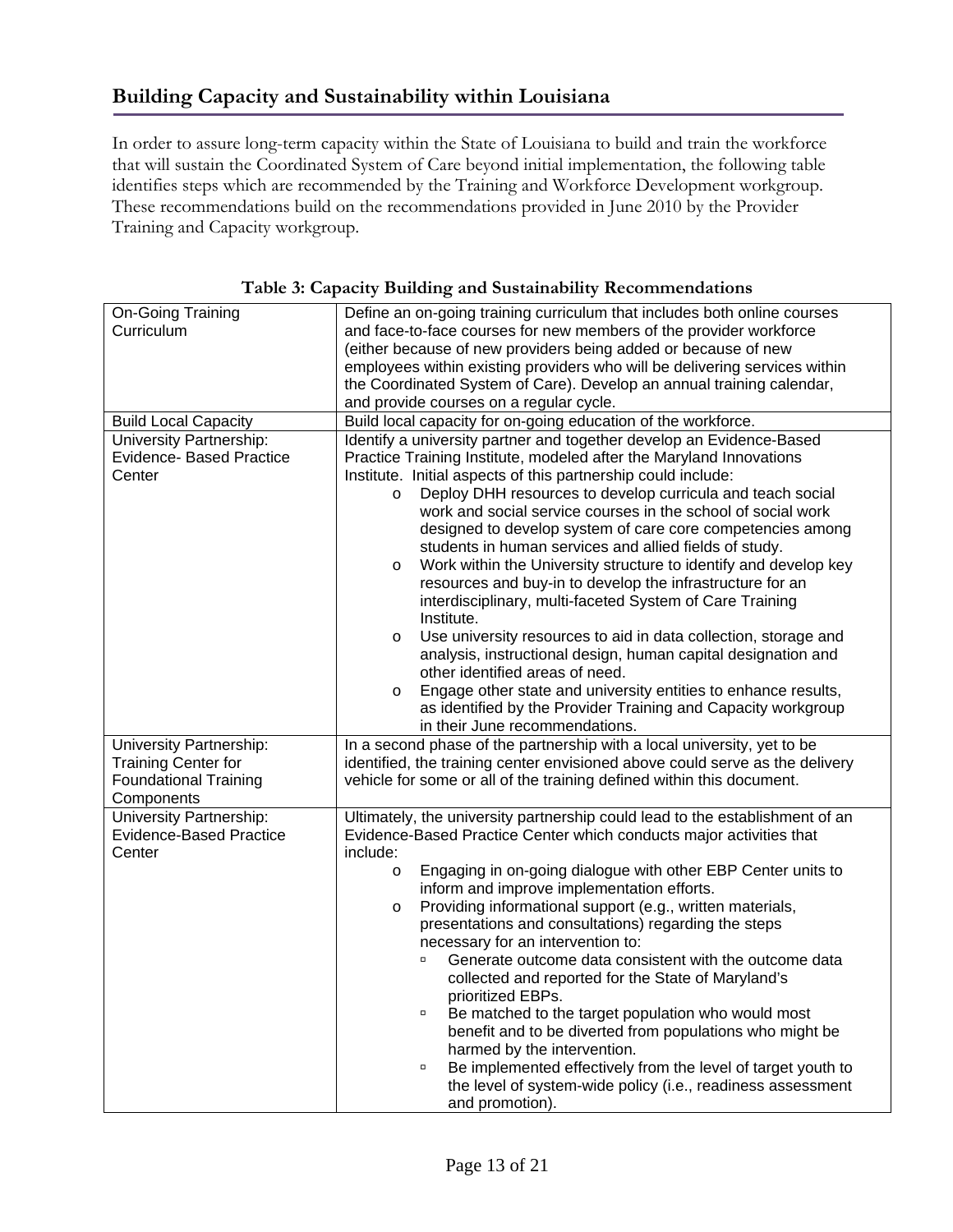<span id="page-13-0"></span>In order to assure long-term capacity within the State of Louisiana to build and train the workforce that will sustain the Coordinated System of Care beyond initial implementation, the following table identifies steps which are recommended by the Training and Workforce Development workgroup. These recommendations build on the recommendations provided in June 2010 by the Provider Training and Capacity workgroup.

| On-Going Training               | Define an on-going training curriculum that includes both online courses     |
|---------------------------------|------------------------------------------------------------------------------|
| Curriculum                      | and face-to-face courses for new members of the provider workforce           |
|                                 | (either because of new providers being added or because of new               |
|                                 | employees within existing providers who will be delivering services within   |
|                                 | the Coordinated System of Care). Develop an annual training calendar,        |
|                                 | and provide courses on a regular cycle.                                      |
| <b>Build Local Capacity</b>     | Build local capacity for on-going education of the workforce.                |
| University Partnership:         | Identify a university partner and together develop an Evidence-Based         |
| <b>Evidence- Based Practice</b> | Practice Training Institute, modeled after the Maryland Innovations          |
| Center                          | Institute. Initial aspects of this partnership could include:                |
|                                 | Deploy DHH resources to develop curricula and teach social<br>$\circ$        |
|                                 | work and social service courses in the school of social work                 |
|                                 | designed to develop system of care core competencies among                   |
|                                 |                                                                              |
|                                 | students in human services and allied fields of study.                       |
|                                 | Work within the University structure to identify and develop key<br>$\circ$  |
|                                 | resources and buy-in to develop the infrastructure for an                    |
|                                 | interdisciplinary, multi-faceted System of Care Training                     |
|                                 | Institute.                                                                   |
|                                 | Use university resources to aid in data collection, storage and<br>$\circ$   |
|                                 | analysis, instructional design, human capital designation and                |
|                                 | other identified areas of need.                                              |
|                                 | Engage other state and university entities to enhance results,<br>$\circ$    |
|                                 | as identified by the Provider Training and Capacity workgroup                |
|                                 | in their June recommendations.                                               |
| University Partnership:         | In a second phase of the partnership with a local university, yet to be      |
| <b>Training Center for</b>      | identified, the training center envisioned above could serve as the delivery |
| <b>Foundational Training</b>    | vehicle for some or all of the training defined within this document.        |
| Components                      |                                                                              |
| <b>University Partnership:</b>  | Ultimately, the university partnership could lead to the establishment of an |
| Evidence-Based Practice         | Evidence-Based Practice Center which conducts major activities that          |
| Center                          | include:                                                                     |
|                                 | Engaging in on-going dialogue with other EBP Center units to<br>$\circ$      |
|                                 | inform and improve implementation efforts.                                   |
|                                 | Providing informational support (e.g., written materials,<br>$\circ$         |
|                                 | presentations and consultations) regarding the steps                         |
|                                 | necessary for an intervention to:                                            |
|                                 | Generate outcome data consistent with the outcome data                       |
|                                 | collected and reported for the State of Maryland's                           |
|                                 | prioritized EBPs.                                                            |
|                                 | Be matched to the target population who would most<br>α                      |
|                                 | benefit and to be diverted from populations who might be                     |
|                                 | harmed by the intervention.                                                  |
|                                 | Be implemented effectively from the level of target youth to<br>$\Box$       |
|                                 | the level of system-wide policy (i.e., readiness assessment                  |
|                                 | and promotion).                                                              |
|                                 |                                                                              |

**Table 3: Capacity Building and Sustainability Recommendations**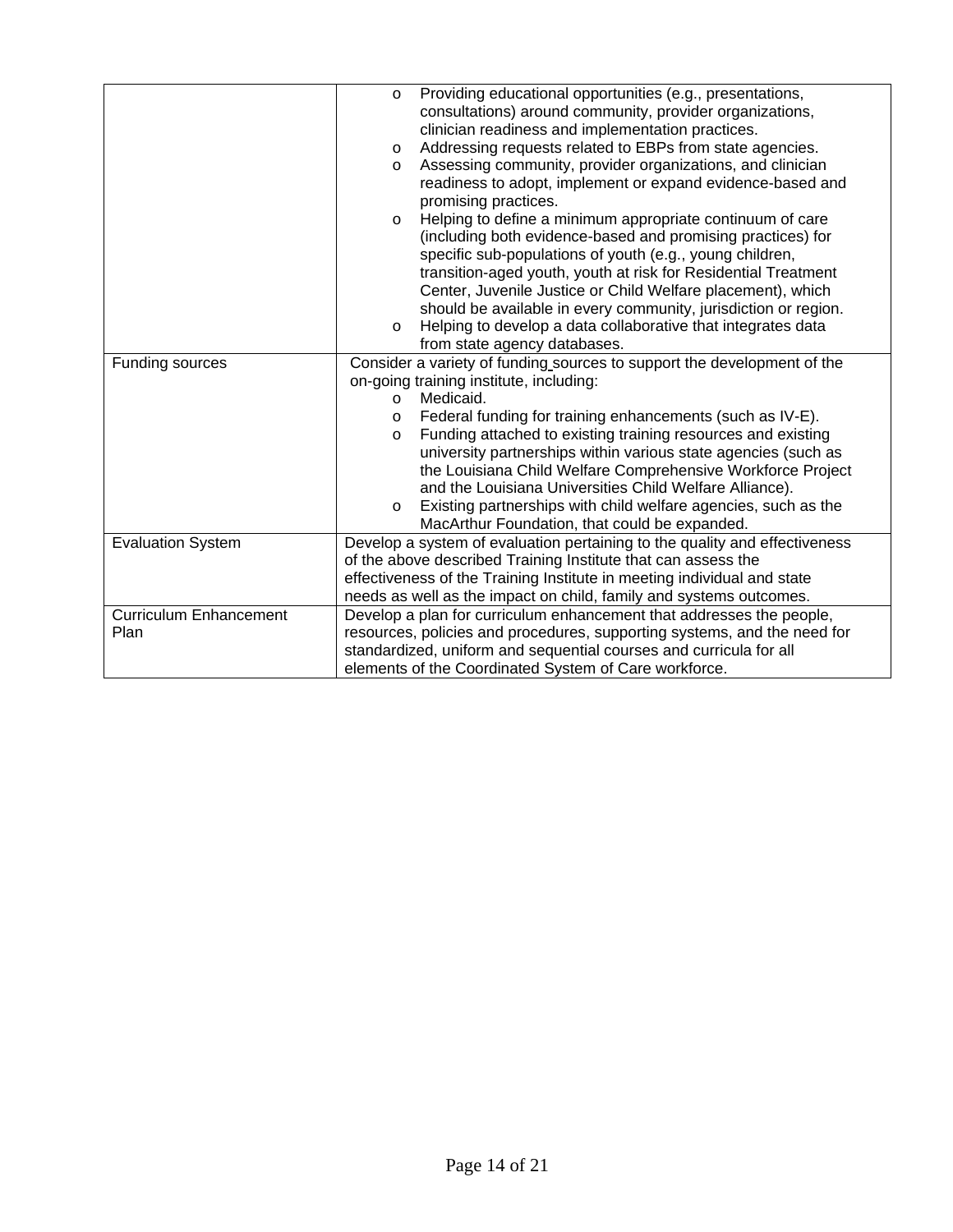|                               | Providing educational opportunities (e.g., presentations,<br>$\circ$       |  |  |
|-------------------------------|----------------------------------------------------------------------------|--|--|
|                               | consultations) around community, provider organizations,                   |  |  |
|                               | clinician readiness and implementation practices.                          |  |  |
|                               | Addressing requests related to EBPs from state agencies.<br>$\circ$        |  |  |
|                               | Assessing community, provider organizations, and clinician<br>$\circ$      |  |  |
|                               | readiness to adopt, implement or expand evidence-based and                 |  |  |
|                               | promising practices.                                                       |  |  |
|                               | Helping to define a minimum appropriate continuum of care<br>$\circ$       |  |  |
|                               | (including both evidence-based and promising practices) for                |  |  |
|                               | specific sub-populations of youth (e.g., young children,                   |  |  |
|                               | transition-aged youth, youth at risk for Residential Treatment             |  |  |
|                               | Center, Juvenile Justice or Child Welfare placement), which                |  |  |
|                               | should be available in every community, jurisdiction or region.            |  |  |
|                               | Helping to develop a data collaborative that integrates data<br>$\circ$    |  |  |
|                               | from state agency databases.                                               |  |  |
| Funding sources               | Consider a variety of funding sources to support the development of the    |  |  |
|                               | on-going training institute, including:                                    |  |  |
|                               | Medicaid.<br>$\circ$                                                       |  |  |
|                               | Federal funding for training enhancements (such as IV-E).<br>$\circ$       |  |  |
|                               | Funding attached to existing training resources and existing<br>$\circ$    |  |  |
|                               | university partnerships within various state agencies (such as             |  |  |
|                               | the Louisiana Child Welfare Comprehensive Workforce Project                |  |  |
|                               | and the Louisiana Universities Child Welfare Alliance).                    |  |  |
|                               | Existing partnerships with child welfare agencies, such as the<br>$\circ$  |  |  |
|                               | MacArthur Foundation, that could be expanded.                              |  |  |
| <b>Evaluation System</b>      | Develop a system of evaluation pertaining to the quality and effectiveness |  |  |
|                               | of the above described Training Institute that can assess the              |  |  |
|                               | effectiveness of the Training Institute in meeting individual and state    |  |  |
|                               | needs as well as the impact on child, family and systems outcomes.         |  |  |
| <b>Curriculum Enhancement</b> | Develop a plan for curriculum enhancement that addresses the people,       |  |  |
| Plan                          | resources, policies and procedures, supporting systems, and the need for   |  |  |
|                               | standardized, uniform and sequential courses and curricula for all         |  |  |
|                               | elements of the Coordinated System of Care workforce.                      |  |  |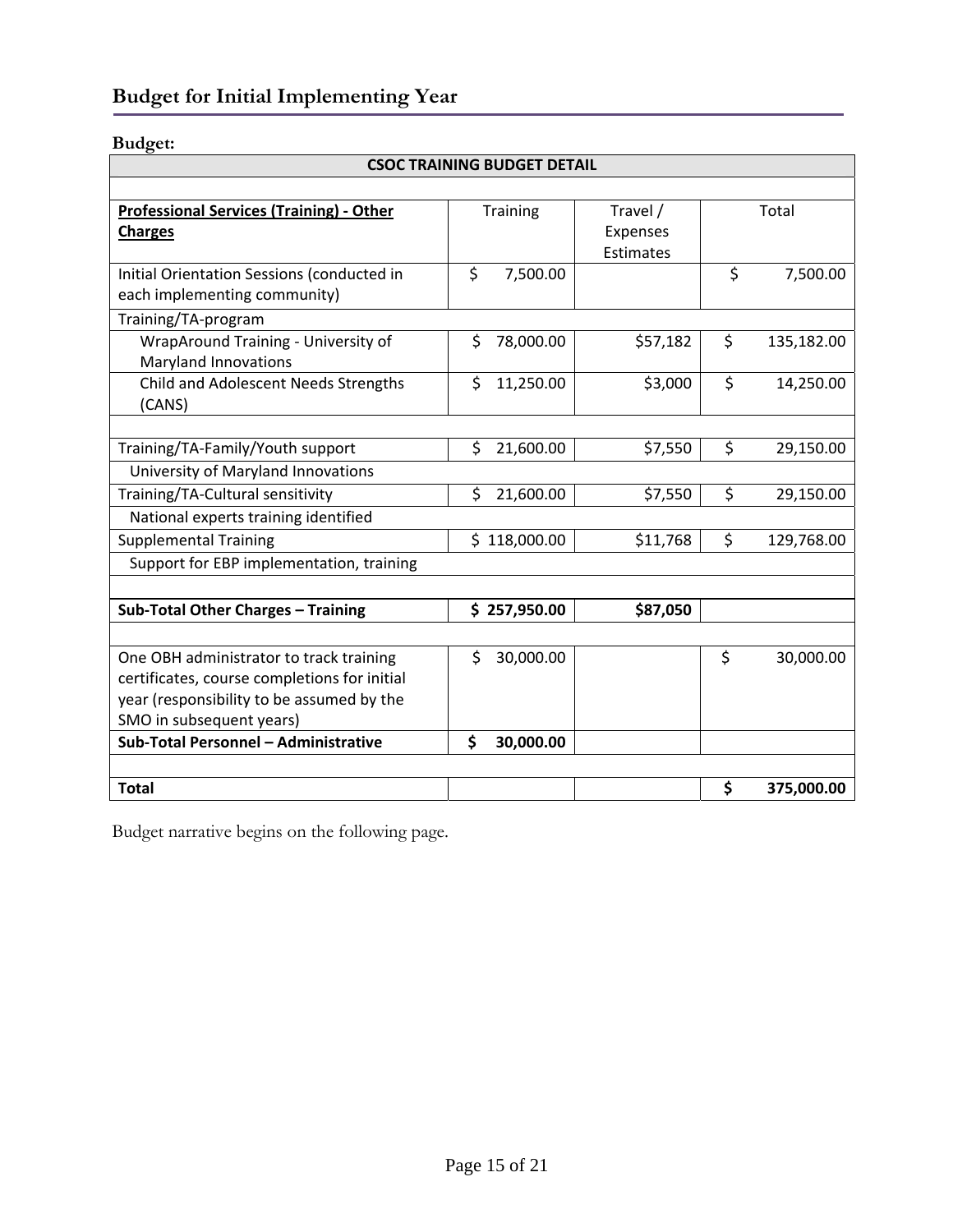# <span id="page-15-0"></span>**Budget for Initial Implementing Year**

## **Budget:**

| <b>CSOC TRAINING BUDGET DETAIL</b>                                         |    |              |                                   |                  |
|----------------------------------------------------------------------------|----|--------------|-----------------------------------|------------------|
|                                                                            |    |              |                                   |                  |
| <b>Professional Services (Training) - Other</b><br><b>Charges</b>          |    | Training     | Travel /<br>Expenses<br>Estimates | Total            |
| Initial Orientation Sessions (conducted in<br>each implementing community) | \$ | 7,500.00     |                                   | \$<br>7,500.00   |
| Training/TA-program                                                        |    |              |                                   |                  |
| WrapAround Training - University of<br><b>Maryland Innovations</b>         | \$ | 78,000.00    | \$57,182                          | \$<br>135,182.00 |
| Child and Adolescent Needs Strengths<br>(CANS)                             | \$ | 11,250.00    | \$3,000                           | \$<br>14,250.00  |
|                                                                            |    |              |                                   |                  |
| Training/TA-Family/Youth support                                           | \$ | 21,600.00    | \$7,550                           | \$<br>29,150.00  |
| University of Maryland Innovations                                         |    |              |                                   |                  |
| Training/TA-Cultural sensitivity                                           | \$ | 21,600.00    | \$7,550                           | \$<br>29,150.00  |
| National experts training identified                                       |    |              |                                   |                  |
| <b>Supplemental Training</b>                                               |    | \$118,000.00 | \$11,768                          | \$<br>129,768.00 |
| Support for EBP implementation, training                                   |    |              |                                   |                  |
|                                                                            |    |              |                                   |                  |
| Sub-Total Other Charges - Training                                         |    | \$257,950.00 | \$87,050                          |                  |
|                                                                            |    |              |                                   |                  |
| One OBH administrator to track training                                    | \$ | 30,000.00    |                                   | \$<br>30,000.00  |
| certificates, course completions for initial                               |    |              |                                   |                  |
| year (responsibility to be assumed by the                                  |    |              |                                   |                  |
| SMO in subsequent years)                                                   |    |              |                                   |                  |
| Sub-Total Personnel - Administrative                                       | Ś  | 30,000.00    |                                   |                  |
|                                                                            |    |              |                                   |                  |
| <b>Total</b>                                                               |    |              |                                   | \$<br>375,000.00 |

Budget narrative begins on the following page.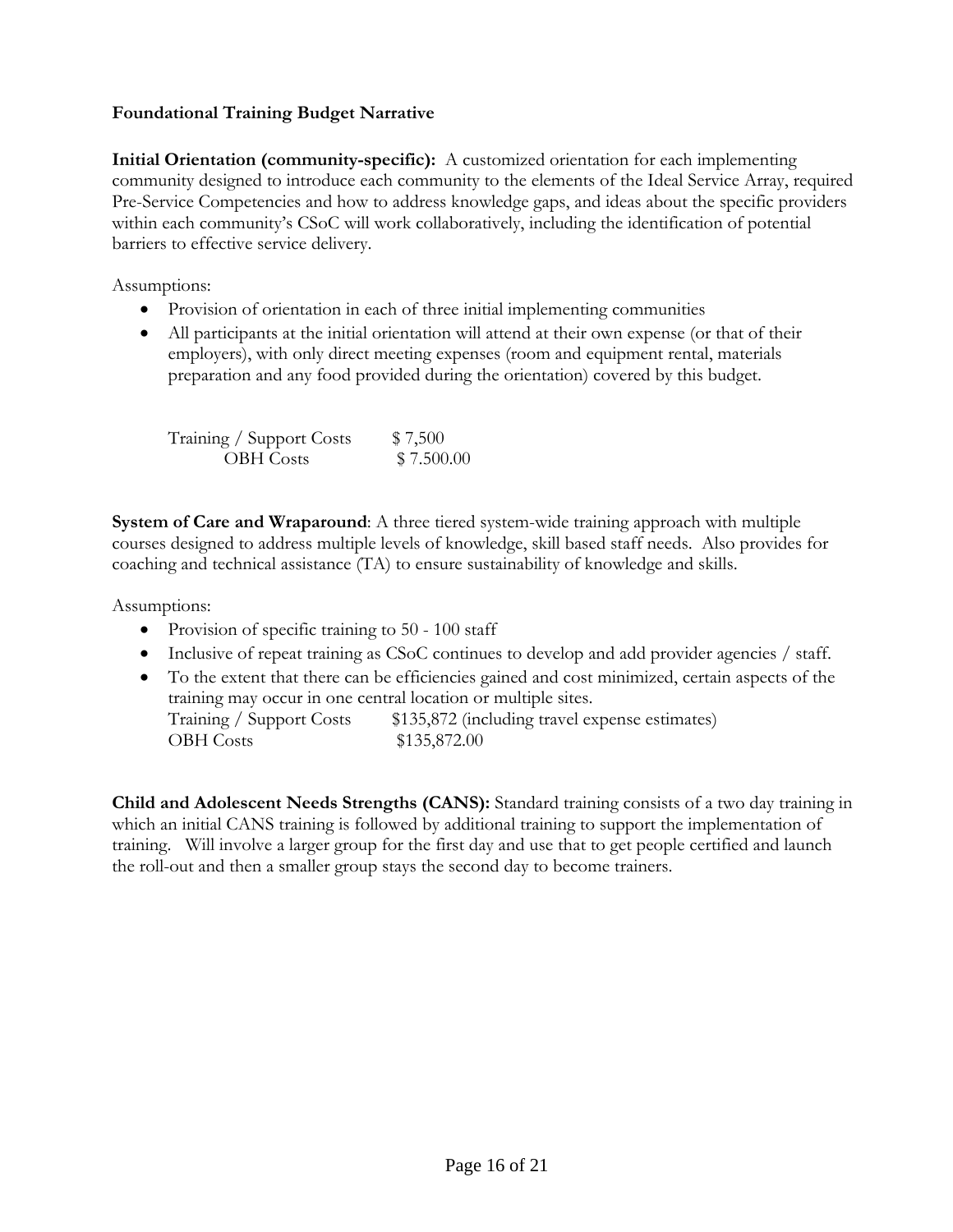## <span id="page-16-0"></span>**Foundational Training Budget Narrative**

**Initial Orientation (community-specific):** A customized orientation for each implementing community designed to introduce each community to the elements of the Ideal Service Array, required Pre-Service Competencies and how to address knowledge gaps, and ideas about the specific providers within each community's CSoC will work collaboratively, including the identification of potential barriers to effective service delivery.

Assumptions:

- Provision of orientation in each of three initial implementing communities
- All participants at the initial orientation will attend at their own expense (or that of their employers), with only direct meeting expenses (room and equipment rental, materials preparation and any food provided during the orientation) covered by this budget.

| Training / Support Costs | \$7,500    |
|--------------------------|------------|
| <b>OBH</b> Costs         | \$7.500.00 |

**System of Care and Wraparound**: A three tiered system-wide training approach with multiple courses designed to address multiple levels of knowledge, skill based staff needs. Also provides for coaching and technical assistance (TA) to ensure sustainability of knowledge and skills.

Assumptions:

- Provision of specific training to 50 100 staff
- Inclusive of repeat training as CSoC continues to develop and add provider agencies / staff.
- To the extent that there can be efficiencies gained and cost minimized, certain aspects of the training may occur in one central location or multiple sites. Training / Support Costs \$135,872 (including travel expense estimates) OBH Costs \$135,872.00

**Child and Adolescent Needs Strengths (CANS):** Standard training consists of a two day training in which an initial CANS training is followed by additional training to support the implementation of training. Will involve a larger group for the first day and use that to get people certified and launch the roll-out and then a smaller group stays the second day to become trainers.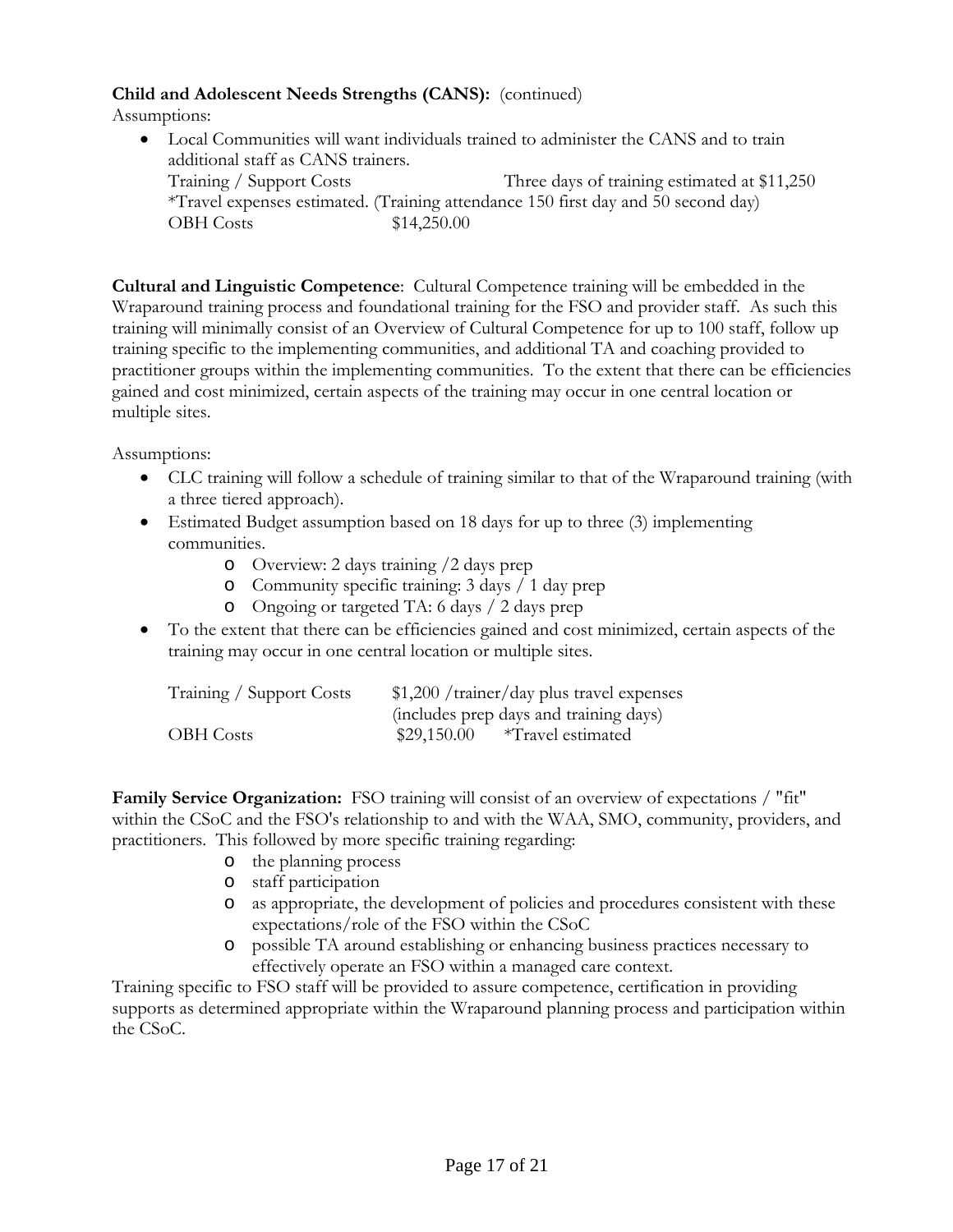## **Child and Adolescent Needs Strengths (CANS):** (continued)

Assumptions:

• Local Communities will want individuals trained to administer the CANS and to train additional staff as CANS trainers. Training / Support Costs Three days of training estimated at \$11,250 \*Travel expenses estimated. (Training attendance 150 first day and 50 second day) OBH Costs \$14,250.00

**Cultural and Linguistic Competence**: Cultural Competence training will be embedded in the Wraparound training process and foundational training for the FSO and provider staff. As such this training will minimally consist of an Overview of Cultural Competence for up to 100 staff, follow up training specific to the implementing communities, and additional TA and coaching provided to practitioner groups within the implementing communities. To the extent that there can be efficiencies gained and cost minimized, certain aspects of the training may occur in one central location or multiple sites.

Assumptions:

- CLC training will follow a schedule of training similar to that of the Wraparound training (with a three tiered approach).
- Estimated Budget assumption based on 18 days for up to three (3) implementing communities.
	- o Overview: 2 days training /2 days prep
	- o Community specific training: 3 days / 1 day prep
	- o Ongoing or targeted TA: 6 days / 2 days prep
- To the extent that there can be efficiencies gained and cost minimized, certain aspects of the training may occur in one central location or multiple sites.

| Training / Support Costs | $$1,200$ /trainer/day plus travel expenses |
|--------------------------|--------------------------------------------|
|                          | (includes prep days and training days)     |
| <b>OBH</b> Costs         | \$29,150.00<br>*Travel estimated           |

**Family Service Organization:** FSO training will consist of an overview of expectations / "fit" within the CSoC and the FSO's relationship to and with the WAA, SMO, community, providers, and practitioners. This followed by more specific training regarding:

- o the planning process
- o staff participation
- o as appropriate, the development of policies and procedures consistent with these expectations/role of the FSO within the CSoC
- o possible TA around establishing or enhancing business practices necessary to effectively operate an FSO within a managed care context.

Training specific to FSO staff will be provided to assure competence, certification in providing supports as determined appropriate within the Wraparound planning process and participation within the CSoC.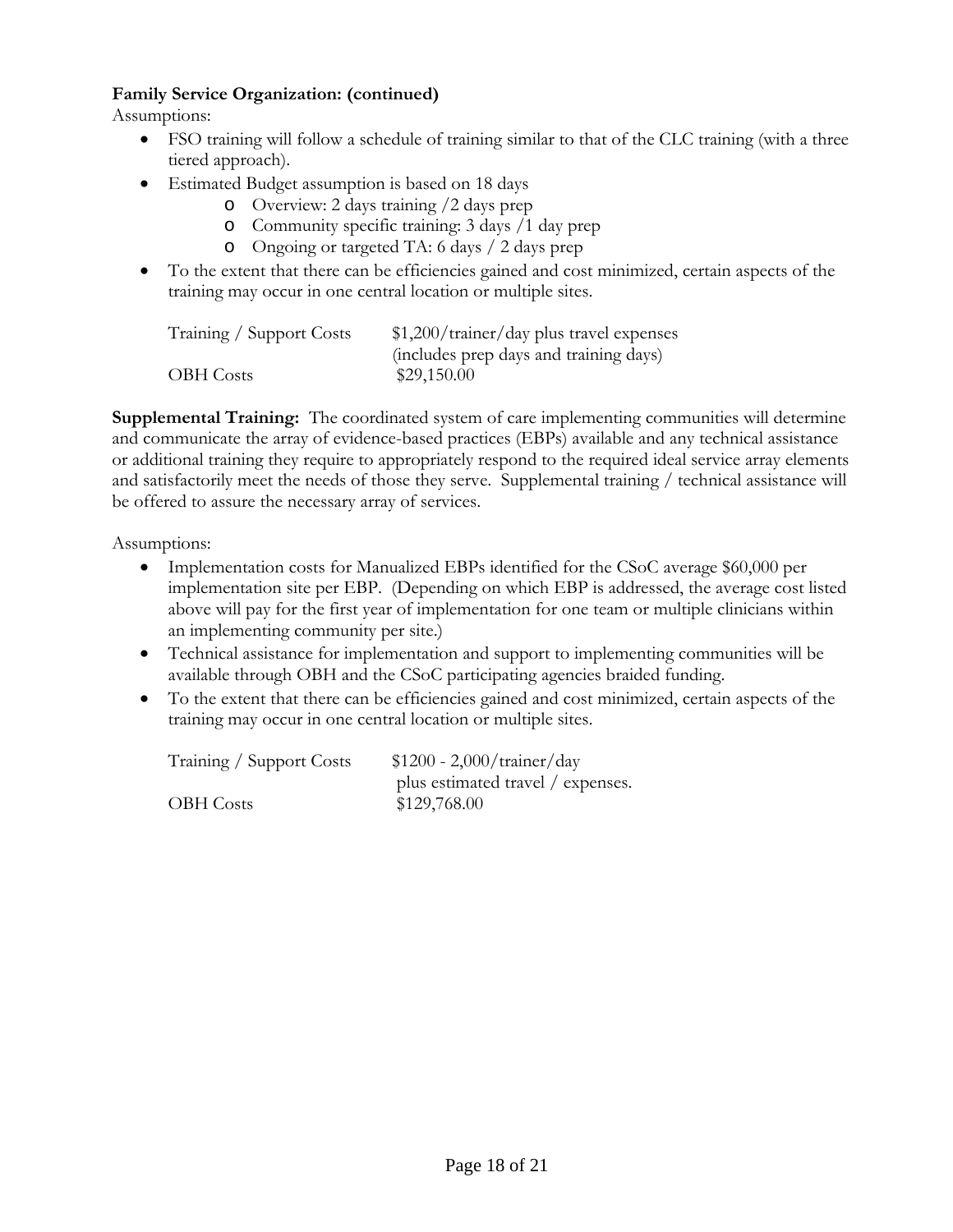## **Family Service Organization: (continued)**

Assumptions:

- FSO training will follow a schedule of training similar to that of the CLC training (with a three tiered approach).
- Estimated Budget assumption is based on 18 days
	- o Overview: 2 days training /2 days prep
	- o Community specific training: 3 days /1 day prep
	- o Ongoing or targeted TA: 6 days / 2 days prep
- To the extent that there can be efficiencies gained and cost minimized, certain aspects of the training may occur in one central location or multiple sites.

| Training / Support Costs | $$1,200/$ trainer/day plus travel expenses |
|--------------------------|--------------------------------------------|
|                          | (includes prep days and training days)     |
| <b>OBH</b> Costs         | \$29,150.00                                |

**Supplemental Training:** The coordinated system of care implementing communities will determine and communicate the array of evidence-based practices (EBPs) available and any technical assistance or additional training they require to appropriately respond to the required ideal service array elements and satisfactorily meet the needs of those they serve. Supplemental training / technical assistance will be offered to assure the necessary array of services.

Assumptions:

- Implementation costs for Manualized EBPs identified for the CSoC average \$60,000 per implementation site per EBP. (Depending on which EBP is addressed, the average cost listed above will pay for the first year of implementation for one team or multiple clinicians within an implementing community per site.)
- Technical assistance for implementation and support to implementing communities will be available through OBH and the CSoC participating agencies braided funding.
- To the extent that there can be efficiencies gained and cost minimized, certain aspects of the training may occur in one central location or multiple sites.

| Training / Support Costs | $$1200 - 2,000/$ trainer/day      |
|--------------------------|-----------------------------------|
|                          | plus estimated travel / expenses. |
| <b>OBH</b> Costs         | \$129,768.00                      |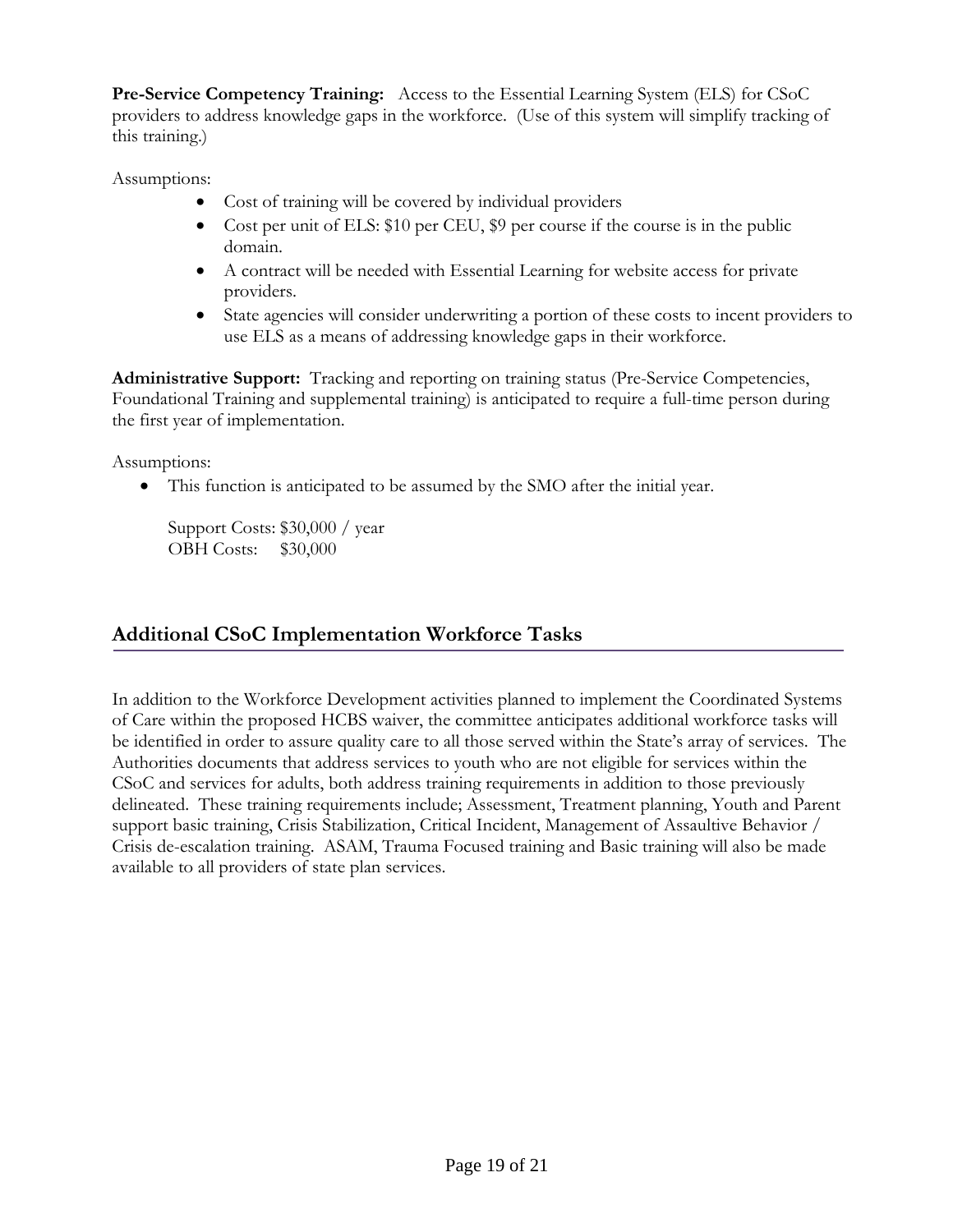**Pre-Service Competency Training:** Access to the Essential Learning System (ELS) for CSoC providers to address knowledge gaps in the workforce. (Use of this system will simplify tracking of this training.)

Assumptions:

- Cost of training will be covered by individual providers
- Cost per unit of ELS: \$10 per CEU, \$9 per course if the course is in the public domain.
- A contract will be needed with Essential Learning for website access for private providers.
- State agencies will consider underwriting a portion of these costs to incent providers to use ELS as a means of addressing knowledge gaps in their workforce.

**Administrative Support:** Tracking and reporting on training status (Pre-Service Competencies, Foundational Training and supplemental training) is anticipated to require a full-time person during the first year of implementation.

Assumptions:

• This function is anticipated to be assumed by the SMO after the initial year.

Support Costs: \$30,000 / year OBH Costs: \$30,000

# **Additional CSoC Implementation Workforce Tasks**

In addition to the Workforce Development activities planned to implement the Coordinated Systems of Care within the proposed HCBS waiver, the committee anticipates additional workforce tasks will be identified in order to assure quality care to all those served within the State's array of services. The Authorities documents that address services to youth who are not eligible for services within the CSoC and services for adults, both address training requirements in addition to those previously delineated. These training requirements include; Assessment, Treatment planning, Youth and Parent support basic training, Crisis Stabilization, Critical Incident, Management of Assaultive Behavior / Crisis de-escalation training. ASAM, Trauma Focused training and Basic training will also be made available to all providers of state plan services.